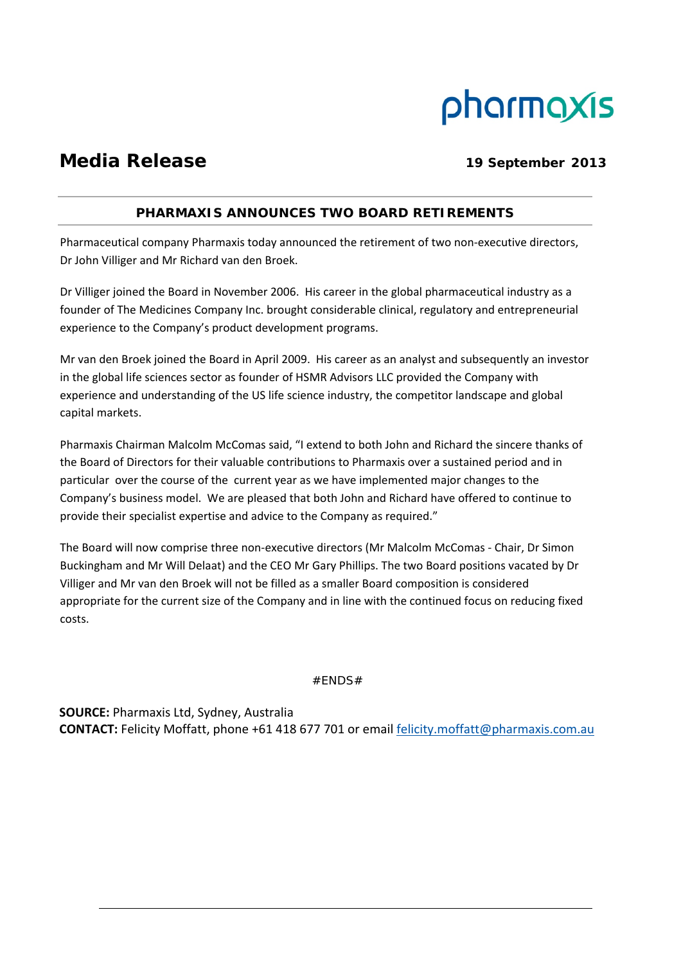# pharmaxis

# **Media Release** 19 September 2013

## **PHARMAXIS ANNOUNCES TWO BOARD RETIREMENTS**

Pharmaceutical company Pharmaxis today announced the retirement of two non-executive directors, Dr John Villiger and Mr Richard van den Broek.

Dr Villiger joined the Board in November 2006. His career in the global pharmaceutical industry as a founder of The Medicines Company Inc. brought considerable clinical, regulatory and entrepreneurial experience to the Company's product development programs.

Mr van den Broek joined the Board in April 2009. His career as an analyst and subsequently an investor in the global life sciences sector as founder of HSMR Advisors LLC provided the Company with experience and understanding of the US life science industry, the competitor landscape and global capital markets.

Pharmaxis Chairman Malcolm McComas said, "I extend to both John and Richard the sincere thanks of the Board of Directors for their valuable contributions to Pharmaxis over a sustained period and in particular over the course of the current year as we have implemented major changes to the Company's business model. We are pleased that both John and Richard have offered to continue to provide their specialist expertise and advice to the Company as required."

The Board will now comprise three non‐executive directors (Mr Malcolm McComas ‐ Chair, Dr Simon Buckingham and Mr Will Delaat) and the CEO Mr Gary Phillips. The two Board positions vacated by Dr Villiger and Mr van den Broek will not be filled as a smaller Board composition is considered appropriate for the current size of the Company and in line with the continued focus on reducing fixed costs.

#ENDS#

**SOURCE:** Pharmaxis Ltd, Sydney, Australia **CONTACT:** Felicity Moffatt, phone +61 418 677 701 or email felicity.moffatt@pharmaxis.com.au